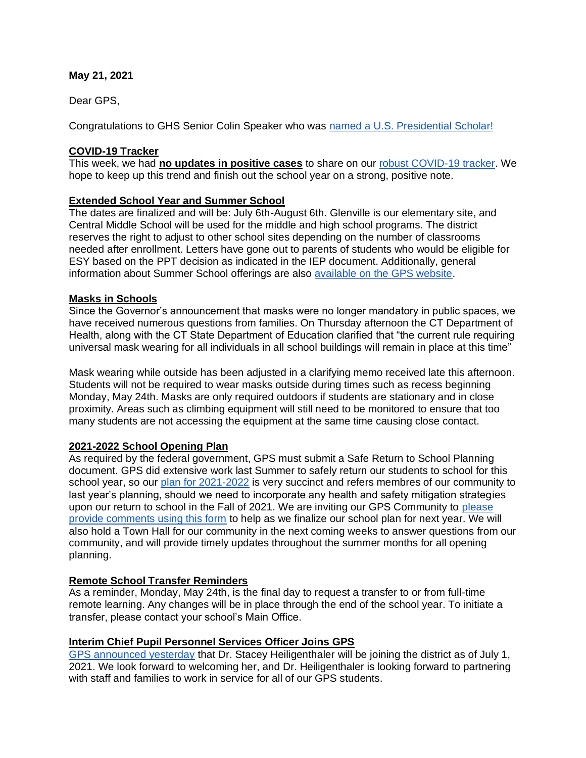### **May 21, 2021**

Dear GPS,

Congratulations to GHS Senior Colin Speaker who was [named a U.S. Presidential Scholar!](https://www.greenwichschools.org/departments/communications/news-social-media/story-details/~post/ghs-senior-named-us-presidential-scholar-20210514)

## **COVID-19 Tracker**

This week, we had **no updates in positive cases** to share on our [robust COVID-19 tracker.](https://www.greenwichschools.org/teaching-learning/student-support-services/health-services/covid-19) We hope to keep up this trend and finish out the school year on a strong, positive note.

## **Extended School Year and Summer School**

The dates are finalized and will be: July 6th-August 6th. Glenville is our elementary site, and Central Middle School will be used for the middle and high school programs. The district reserves the right to adjust to other school sites depending on the number of classrooms needed after enrollment. Letters have gone out to parents of students who would be eligible for ESY based on the PPT decision as indicated in the IEP document. Additionally, general information about Summer School offerings are also [available on the GPS website.](https://www.greenwichschools.org/teaching-learning/summer-school)

### **Masks in Schools**

Since the Governor's announcement that masks were no longer mandatory in public spaces, we have received numerous questions from families. On Thursday afternoon the CT Department of Health, along with the CT State Department of Education clarified that "the current rule requiring universal mask wearing for all individuals in all school buildings will remain in place at this time"

Mask wearing while outside has been adjusted in a clarifying memo received late this afternoon. Students will not be required to wear masks outside during times such as recess beginning Monday, May 24th. Masks are only required outdoors if students are stationary and in close proximity. Areas such as climbing equipment will still need to be monitored to ensure that too many students are not accessing the equipment at the same time causing close contact.

### **2021-2022 School Opening Plan**

As required by the federal government, GPS must submit a Safe Return to School Planning document. GPS did extensive work last Summer to safely return our students to school for this school year, so our [plan for 2021-2022](https://resources.finalsite.net/images/v1621629913/greenwich/j0ohs7staxmgm0xzmx1s/2021-2022SchoolReopeningPlan1.pdf) is very succinct and refers membres of our community to last year's planning, should we need to incorporate any health and safety mitigation strategies upon our return to school in the Fall of 2021. We are inviting our GPS Community to [please](https://www.surveymonkey.com/r/HCFGZ5T)  [provide comments using this form](https://www.surveymonkey.com/r/HCFGZ5T) to help as we finalize our school plan for next year. We will also hold a Town Hall for our community in the next coming weeks to answer questions from our community, and will provide timely updates throughout the summer months for all opening planning.

### **Remote School Transfer Reminders**

As a reminder, Monday, May 24th, is the final day to request a transfer to or from full-time remote learning. Any changes will be in place through the end of the school year. To initiate a transfer, please contact your school's Main Office.

### **Interim Chief Pupil Personnel Services Officer Joins GPS**

[GPS announced yesterday](https://www.greenwichschools.org/departments/communications/news-social-media/story-details/~post/gps-appoints-interim-chief-pupil-personnel-services-officer-20210520) that Dr. Stacey Heiligenthaler will be joining the district as of July 1, 2021. We look forward to welcoming her, and Dr. Heiligenthaler is looking forward to partnering with staff and families to work in service for all of our GPS students.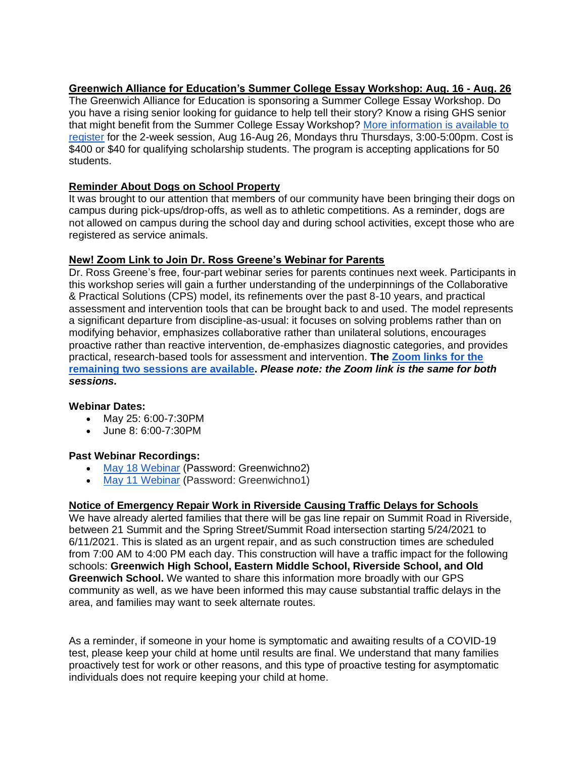### **Greenwich Alliance for Education's Summer College Essay Workshop: Aug. 16 - Aug. 26**

The Greenwich Alliance for Education is sponsoring a Summer College Essay Workshop. Do you have a rising senior looking for guidance to help tell their story? Know a rising GHS senior that might benefit from the Summer College Essay Workshop? [More information is available to](https://greenwichalliance.org/civicrm/event/info/?id=28&reset=1)  [register](https://greenwichalliance.org/civicrm/event/info/?id=28&reset=1) for the 2-week session, Aug 16-Aug 26, Mondays thru Thursdays, 3:00-5:00pm. Cost is \$400 or \$40 for qualifying scholarship students. The program is accepting applications for 50 students.

## **Reminder About Dogs on School Property**

It was brought to our attention that members of our community have been bringing their dogs on campus during pick-ups/drop-offs, as well as to athletic competitions. As a reminder, dogs are not allowed on campus during the school day and during school activities, except those who are registered as service animals.

## **New! Zoom Link to Join Dr. Ross Greene's Webinar for Parents**

Dr. Ross Greene's free, four-part webinar series for parents continues next week. Participants in this workshop series will gain a further understanding of the underpinnings of the Collaborative & Practical Solutions (CPS) model, its refinements over the past 8-10 years, and practical assessment and intervention tools that can be brought back to and used. The model represents a significant departure from discipline-as-usual: it focuses on solving problems rather than on modifying behavior, emphasizes collaborative rather than unilateral solutions, encourages proactive rather than reactive intervention, de-emphasizes diagnostic categories, and provides practical, research-based tools for assessment and intervention. **The [Zoom links for the](https://zoom.us/j/99492786104)  [remaining two sessions are available.](https://zoom.us/j/99492786104)** *Please note: the Zoom link is the same for both sessions.*

### **Webinar Dates:**

- May 25: 6:00-7:30PM
- June 8: 6:00-7:30PM

### **Past Webinar Recordings:**

- [May 18 Webinar](https://vimeo.com/552452116) (Password: Greenwichno2)
- [May 11 Webinar](https://vimeo.com/551557364) (Password: Greenwichno1)

# **Notice of Emergency Repair Work in Riverside Causing Traffic Delays for Schools**

We have already alerted families that there will be gas line repair on Summit Road in Riverside, between 21 Summit and the Spring Street/Summit Road intersection starting 5/24/2021 to 6/11/2021. This is slated as an urgent repair, and as such construction times are scheduled from 7:00 AM to 4:00 PM each day. This construction will have a traffic impact for the following schools: **Greenwich High School, Eastern Middle School, Riverside School, and Old Greenwich School.** We wanted to share this information more broadly with our GPS community as well, as we have been informed this may cause substantial traffic delays in the area, and families may want to seek alternate routes.

As a reminder, if someone in your home is symptomatic and awaiting results of a COVID-19 test, please keep your child at home until results are final. We understand that many families proactively test for work or other reasons, and this type of proactive testing for asymptomatic individuals does not require keeping your child at home.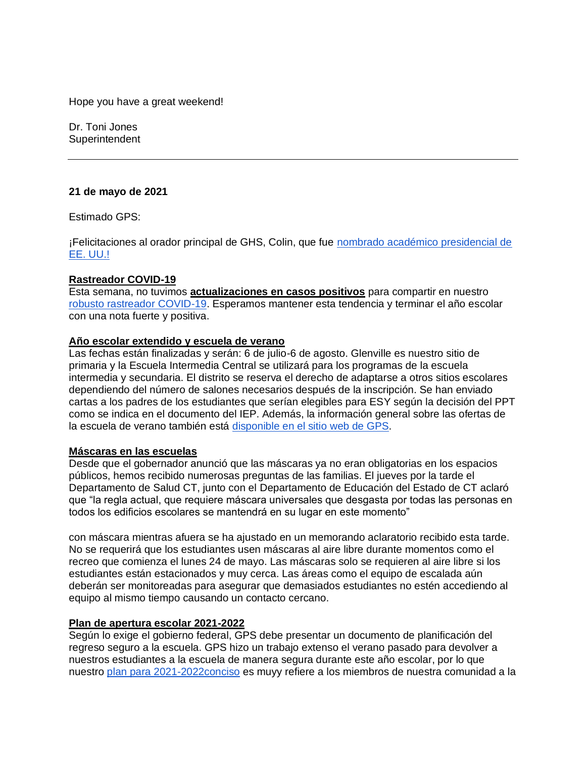Hope you have a great weekend!

Dr. Toni Jones **Superintendent** 

### **21 de mayo de 2021**

Estimado GPS:

¡Felicitaciones al orador principal de GHS, Colin, que fue [nombrado académico presidencial de](https://www.greenwichschools.org/departments/communications/news-social-media/story-details/~post/ghs-senior-named-us-presidential-scholar-20210514)  [EE. UU.!](https://www.greenwichschools.org/departments/communications/news-social-media/story-details/~post/ghs-senior-named-us-presidential-scholar-20210514)

#### **Rastreador COVID-19**

Esta semana, no tuvimos **actualizaciones en casos positivos** para compartir en nuestro [robusto rastreador COVID-19.](https://www.greenwichschools.org/teaching-learning/student-support-services/health-services/covid-19) Esperamos mantener esta tendencia y terminar el año escolar con una nota fuerte y positiva.

#### **Año escolar extendido y escuela de verano**

Las fechas están finalizadas y serán: 6 de julio-6 de agosto. Glenville es nuestro sitio de primaria y la Escuela Intermedia Central se utilizará para los programas de la escuela intermedia y secundaria. El distrito se reserva el derecho de adaptarse a otros sitios escolares dependiendo del número de salones necesarios después de la inscripción. Se han enviado cartas a los padres de los estudiantes que serían elegibles para ESY según la decisión del PPT como se indica en el documento del IEP. Además, la información general sobre las ofertas de la escuela de verano también está [disponible en el sitio web de GPS.](https://www.greenwichschools.org/teaching-learning/summer-school)

#### **Máscaras en las escuelas**

Desde que el gobernador anunció que las máscaras ya no eran obligatorias en los espacios públicos, hemos recibido numerosas preguntas de las familias. El jueves por la tarde el Departamento de Salud CT, junto con el Departamento de Educación del Estado de CT aclaró que "la regla actual, que requiere máscara universales que desgasta por todas las personas en todos los edificios escolares se mantendrá en su lugar en este momento"

con máscara mientras afuera se ha ajustado en un memorando aclaratorio recibido esta tarde. No se requerirá que los estudiantes usen máscaras al aire libre durante momentos como el recreo que comienza el lunes 24 de mayo. Las máscaras solo se requieren al aire libre si los estudiantes están estacionados y muy cerca. Las áreas como el equipo de escalada aún deberán ser monitoreadas para asegurar que demasiados estudiantes no estén accediendo al equipo al mismo tiempo causando un contacto cercano.

#### **Plan de apertura escolar 2021-2022**

Según lo exige el gobierno federal, GPS debe presentar un documento de planificación del regreso seguro a la escuela. GPS hizo un trabajo extenso el verano pasado para devolver a nuestros estudiantes a la escuela de manera segura durante este año escolar, por lo que nuestro [plan para 2021-2022conciso](https://resources.finalsite.net/images/v1621629913/greenwich/j0ohs7staxmgm0xzmx1s/2021-2022SchoolReopeningPlan1.pdf) es muyy refiere a los miembros de nuestra comunidad a la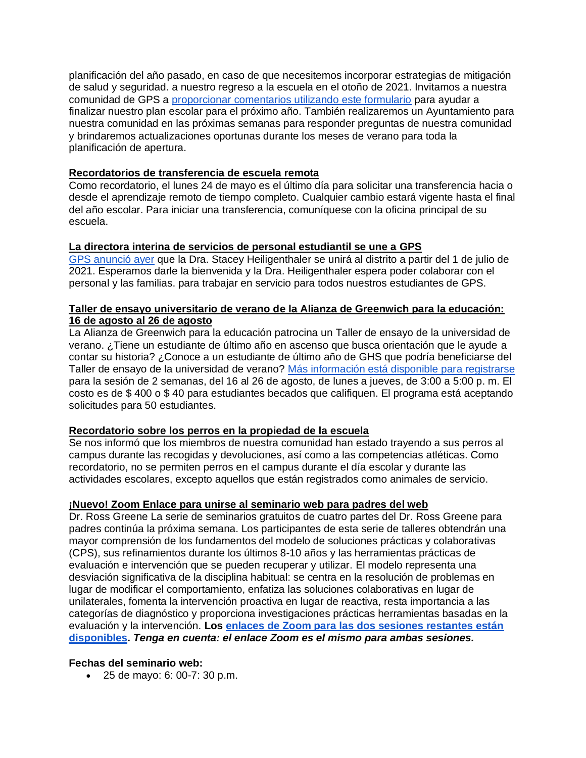planificación del año pasado, en caso de que necesitemos incorporar estrategias de mitigación de salud y seguridad. a nuestro regreso a la escuela en el otoño de 2021. Invitamos a nuestra comunidad de GPS a [proporcionar comentarios utilizando este formulario](https://www.surveymonkey.com/r/HCFGZ5T) para ayudar a finalizar nuestro plan escolar para el próximo año. También realizaremos un Ayuntamiento para nuestra comunidad en las próximas semanas para responder preguntas de nuestra comunidad y brindaremos actualizaciones oportunas durante los meses de verano para toda la planificación de apertura.

### **Recordatorios de transferencia de escuela remota**

Como recordatorio, el lunes 24 de mayo es el último día para solicitar una transferencia hacia o desde el aprendizaje remoto de tiempo completo. Cualquier cambio estará vigente hasta el final del año escolar. Para iniciar una transferencia, comuníquese con la oficina principal de su escuela.

## **La directora interina de servicios de personal estudiantil se une a GPS**

[GPS anunció ayer](https://www.greenwichschools.org/departments/communications/news-social-media/story-details/~post/gps-appoints-interim-chief-pupil-personnel-services-officer-20210520) que la Dra. Stacey Heiligenthaler se unirá al distrito a partir del 1 de julio de 2021. Esperamos darle la bienvenida y la Dra. Heiligenthaler espera poder colaborar con el personal y las familias. para trabajar en servicio para todos nuestros estudiantes de GPS.

### **Taller de ensayo universitario de verano de la Alianza de Greenwich para la educación: 16 de agosto al 26 de agosto**

La Alianza de Greenwich para la educación patrocina un Taller de ensayo de la universidad de verano. ¿Tiene un estudiante de último año en ascenso que busca orientación que le ayude a contar su historia? ¿Conoce a un estudiante de último año de GHS que podría beneficiarse del Taller de ensayo de la universidad de verano? [Más información está disponible para registrarse](https://greenwichalliance.org/civicrm/event/info/?id=28&reset=1) para la sesión de 2 semanas, del 16 al 26 de agosto, de lunes a jueves, de 3:00 a 5:00 p. m. El costo es de \$ 400 o \$ 40 para estudiantes becados que califiquen. El programa está aceptando solicitudes para 50 estudiantes.

# **Recordatorio sobre los perros en la propiedad de la escuela**

Se nos informó que los miembros de nuestra comunidad han estado trayendo a sus perros al campus durante las recogidas y devoluciones, así como a las competencias atléticas. Como recordatorio, no se permiten perros en el campus durante el día escolar y durante las actividades escolares, excepto aquellos que están registrados como animales de servicio.

# **¡Nuevo! Zoom Enlace para unirse al seminario web para padres del web**

Dr. Ross Greene La serie de seminarios gratuitos de cuatro partes del Dr. Ross Greene para padres continúa la próxima semana. Los participantes de esta serie de talleres obtendrán una mayor comprensión de los fundamentos del modelo de soluciones prácticas y colaborativas (CPS), sus refinamientos durante los últimos 8-10 años y las herramientas prácticas de evaluación e intervención que se pueden recuperar y utilizar. El modelo representa una desviación significativa de la disciplina habitual: se centra en la resolución de problemas en lugar de modificar el comportamiento, enfatiza las soluciones colaborativas en lugar de unilaterales, fomenta la intervención proactiva en lugar de reactiva, resta importancia a las categorías de diagnóstico y proporciona investigaciones prácticas herramientas basadas en la evaluación y la intervención. **Los [enlaces de Zoom para las dos sesiones restantes están](https://zoom.us/j/99492786104)  [disponibles.](https://zoom.us/j/99492786104)** *Tenga en cuenta: el enlace Zoom es el mismo para ambas sesiones.*

### **Fechas del seminario web:**

• 25 de mayo: 6: 00-7: 30 p.m.